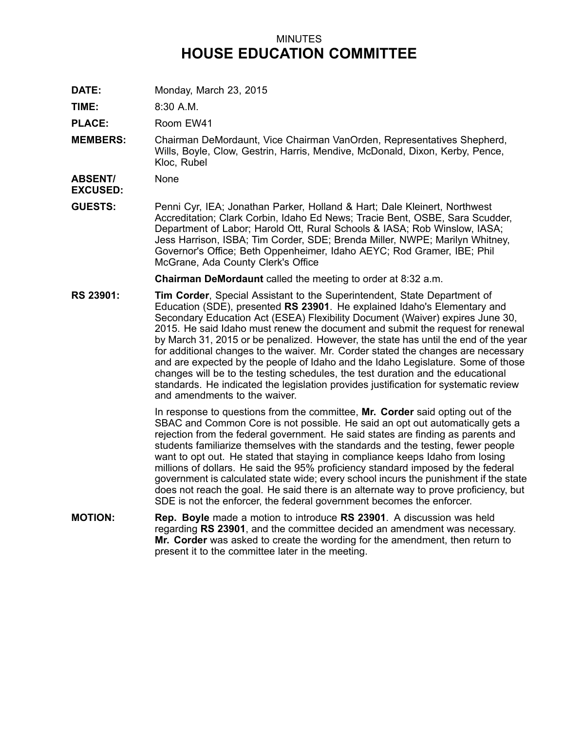## MINUTES **HOUSE EDUCATION COMMITTEE**

**DATE:** Monday, March 23, 2015

**TIME:** 8:30 A.M.

**PLACE:** Room EW41

**MEMBERS:** Chairman DeMordaunt, Vice Chairman VanOrden, Representatives Shepherd, Wills, Boyle, Clow, Gestrin, Harris, Mendive, McDonald, Dixon, Kerby, Pence, Kloc, Rubel

**ABSENT/** None

**EXCUSED:**

**GUESTS:** Penni Cyr, IEA; Jonathan Parker, Holland & Hart; Dale Kleinert, Northwest Accreditation; Clark Corbin, Idaho Ed News; Tracie Bent, OSBE, Sara Scudder, Department of Labor; Harold Ott, Rural Schools & IASA; Rob Winslow, IASA; Jess Harrison, ISBA; Tim Corder, SDE; Brenda Miller, NWPE; Marilyn Whitney, Governor's Office; Beth Oppenheimer, Idaho AEYC; Rod Gramer, IBE; Phil McGrane, Ada County Clerk's Office

**Chairman DeMordaunt** called the meeting to order at 8:32 a.m.

**RS 23901: Tim Corder**, Special Assistant to the Superintendent, State Department of Education (SDE), presented **RS 23901**. He explained Idaho's Elementary and Secondary Education Act (ESEA) Flexibility Document (Waiver) expires June 30, 2015. He said Idaho must renew the document and submit the request for renewal by March 31, 2015 or be penalized. However, the state has until the end of the year for additional changes to the waiver. Mr. Corder stated the changes are necessary and are expected by the people of Idaho and the Idaho Legislature. Some of those changes will be to the testing schedules, the test duration and the educational standards. He indicated the legislation provides justification for systematic review and amendments to the waiver.

> In response to questions from the committee, **Mr. Corder** said opting out of the SBAC and Common Core is not possible. He said an opt out automatically gets <sup>a</sup> rejection from the federal government. He said states are finding as parents and students familiarize themselves with the standards and the testing, fewer people want to opt out. He stated that staying in compliance keeps Idaho from losing millions of dollars. He said the 95% proficiency standard imposed by the federal government is calculated state wide; every school incurs the punishment if the state does not reach the goal. He said there is an alternate way to prove proficiency, but SDE is not the enforcer, the federal government becomes the enforcer.

**MOTION: Rep. Boyle** made <sup>a</sup> motion to introduce **RS 23901**. A discussion was held regarding **RS 23901**, and the committee decided an amendment was necessary. **Mr. Corder** was asked to create the wording for the amendment, then return to present it to the committee later in the meeting.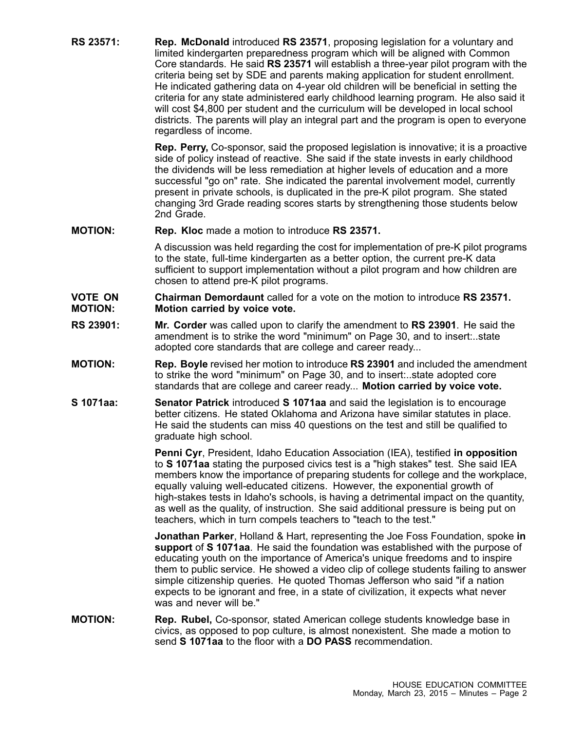**RS 23571: Rep. McDonald** introduced **RS 23571**, proposing legislation for <sup>a</sup> voluntary and limited kindergarten preparedness program which will be aligned with Common Core standards. He said **RS 23571** will establish <sup>a</sup> three-year pilot program with the criteria being set by SDE and parents making application for student enrollment. He indicated gathering data on 4-year old children will be beneficial in setting the criteria for any state administered early childhood learning program. He also said it will cost \$4,800 per student and the curriculum will be developed in local school districts. The parents will play an integral part and the program is open to everyone regardless of income.

> **Rep. Perry,** Co-sponsor, said the proposed legislation is innovative; it is <sup>a</sup> proactive side of policy instead of reactive. She said if the state invests in early childhood the dividends will be less remediation at higher levels of education and <sup>a</sup> more successful "go on" rate. She indicated the parental involvement model, currently present in private schools, is duplicated in the pre-K pilot program. She stated changing 3rd Grade reading scores starts by strengthening those students below 2nd Grade.

**MOTION: Rep. Kloc** made <sup>a</sup> motion to introduce **RS 23571.**

A discussion was held regarding the cost for implementation of pre-K pilot programs to the state, full-time kindergarten as <sup>a</sup> better option, the current pre-K data sufficient to support implementation without <sup>a</sup> pilot program and how children are chosen to attend pre-K pilot programs.

## **VOTE ON MOTION: Chairman Demordaunt** called for a vote on the motion to introduce **RS 23571. Motion carried by voice vote.**

- **RS 23901: Mr. Corder** was called upon to clarify the amendment to **RS 23901**. He said the amendment is to strike the word "minimum" on Page 30, and to insert:..state adopted core standards that are college and career ready...
- **MOTION: Rep. Boyle** revised her motion to introduce **RS 23901** and included the amendment to strike the word "minimum" on Page 30, and to insert:..state adopted core standards that are college and career ready... **Motion carried by voice vote.**
- **S 1071aa: Senator Patrick** introduced **S 1071aa** and said the legislation is to encourage better citizens. He stated Oklahoma and Arizona have similar statutes in place. He said the students can miss 40 questions on the test and still be qualified to graduate high school.

**Penni Cyr**, President, Idaho Education Association (IEA), testified **in opposition** to **S 1071aa** stating the purposed civics test is <sup>a</sup> "high stakes" test. She said IEA members know the importance of preparing students for college and the workplace, equally valuing well-educated citizens. However, the exponential growth of high-stakes tests in Idaho's schools, is having <sup>a</sup> detrimental impact on the quantity, as well as the quality, of instruction. She said additional pressure is being put on teachers, which in turn compels teachers to "teach to the test."

**Jonathan Parker**, Holland & Hart, representing the Joe Foss Foundation, spoke **in support** of **S 1071aa**. He said the foundation was established with the purpose of educating youth on the importance of America's unique freedoms and to inspire them to public service. He showed <sup>a</sup> video clip of college students failing to answer simple citizenship queries. He quoted Thomas Jefferson who said "if <sup>a</sup> nation expects to be ignorant and free, in <sup>a</sup> state of civilization, it expects what never was and never will be."

**MOTION: Rep. Rubel,** Co-sponsor, stated American college students knowledge base in civics, as opposed to pop culture, is almost nonexistent. She made <sup>a</sup> motion to send **S 1071aa** to the floor with a **DO PASS** recommendation.